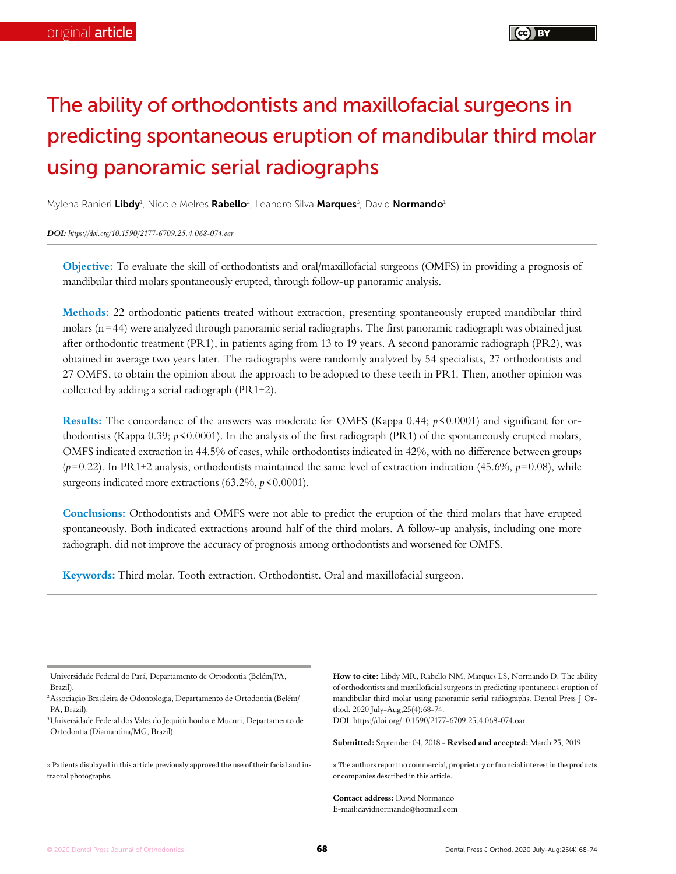# The ability of orthodontists and maxillofacial surgeons in predicting spontaneous eruption of mandibular third molar using panoramic serial radiographs

Mylena Ranieri **Libdy**<sup>1</sup>, Nicole Melres **Rabello**<sup>2</sup>, Leandro Silva **Marques**3, David **Normando**1

#### *DOI: https://doi.org/10.1590/2177-6709.25.4.068-074.oar*

**Objective:** To evaluate the skill of orthodontists and oral/maxillofacial surgeons (OMFS) in providing a prognosis of mandibular third molars spontaneously erupted, through follow-up panoramic analysis.

**Methods:** 22 orthodontic patients treated without extraction, presenting spontaneously erupted mandibular third molars ( $n = 44$ ) were analyzed through panoramic serial radiographs. The first panoramic radiograph was obtained just after orthodontic treatment (PR1), in patients aging from 13 to 19 years. A second panoramic radiograph (PR2), was obtained in average two years later. The radiographs were randomly analyzed by 54 specialists, 27 orthodontists and 27 OMFS, to obtain the opinion about the approach to be adopted to these teeth in PR1. Then, another opinion was collected by adding a serial radiograph (PR1+2).

**Results:** The concordance of the answers was moderate for OMFS (Kappa 0.44; *p*<0.0001) and significant for orthodontists (Kappa 0.39;  $p \le 0.0001$ ). In the analysis of the first radiograph (PR1) of the spontaneously erupted molars, OMFS indicated extraction in 44.5% of cases, while orthodontists indicated in 42%, with no difference between groups  $(p=0.22)$ . In PR1+2 analysis, orthodontists maintained the same level of extraction indication (45.6%,  $p=0.08$ ), while surgeons indicated more extractions (63.2%,  $p$ <0.0001).

**Conclusions:** Orthodontists and OMFS were not able to predict the eruption of the third molars that have erupted spontaneously. Both indicated extractions around half of the third molars. A follow-up analysis, including one more radiograph, did not improve the accuracy of prognosis among orthodontists and worsened for OMFS.

**Keywords:** Third molar. Tooth extraction. Orthodontist. Oral and maxillofacial surgeon.

**How to cite:** Libdy MR, Rabello NM, Marques LS, Normando D. The ability of orthodontists and maxillofacial surgeons in predicting spontaneous eruption of mandibular third molar using panoramic serial radiographs. Dental Press J Orthod. 2020 July-Aug;25(4):68-74.

DOI: https://doi.org/10.1590/2177-6709.25.4.068-074.oar

**Submitted:** September 04, 2018 - **Revised and accepted:** March 25, 2019

» The authors report no commercial, proprietary or financial interest in the products or companies described in this article.

**Contact address:** David Normando E-mail:davidnormando@hotmail.com

<sup>1</sup>Universidade Federal do Pará, Departamento de Ortodontia (Belém/PA, Brazil).

<sup>2</sup>Associação Brasileira de Odontologia, Departamento de Ortodontia (Belém/ PA, Brazil).

<sup>3</sup>Universidade Federal dos Vales do Jequitinhonha e Mucuri, Departamento de Ortodontia (Diamantina/MG, Brazil).

<sup>»</sup> Patients displayed in this article previously approved the use of their facial and intraoral photographs.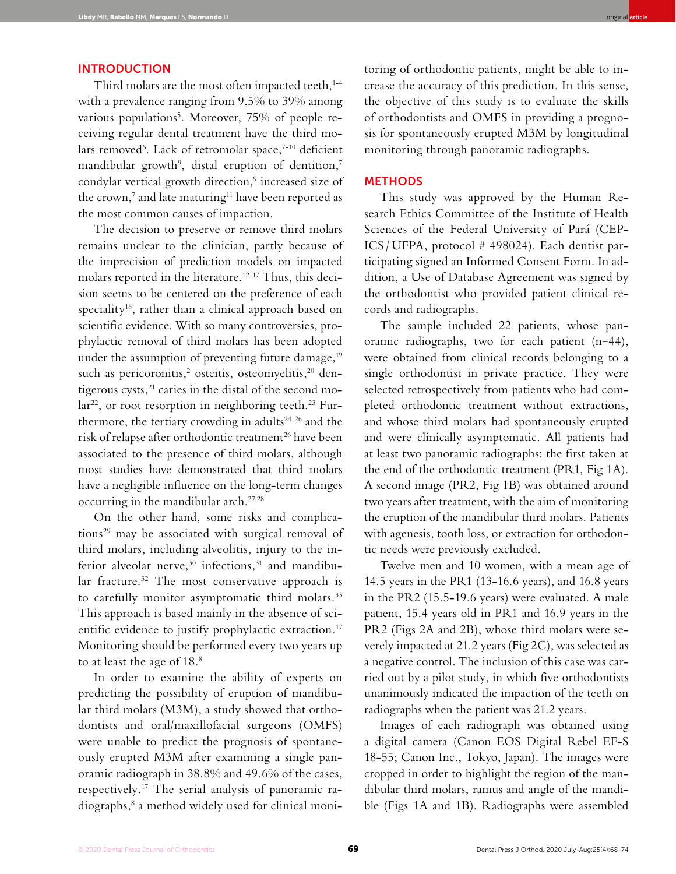#### INTRODUCTION

Third molars are the most often impacted teeth, $1-4$ with a prevalence ranging from 9.5% to 39% among various populations5 . Moreover, 75% of people receiving regular dental treatment have the third molars removed<sup>6</sup>. Lack of retromolar space,<sup>7-10</sup> deficient mandibular growth<sup>9</sup>, distal eruption of dentition,<sup>7</sup> condylar vertical growth direction,<sup>9</sup> increased size of the crown,<sup>7</sup> and late maturing<sup>11</sup> have been reported as the most common causes of impaction.

The decision to preserve or remove third molars remains unclear to the clinician, partly because of the imprecision of prediction models on impacted molars reported in the literature.12-17 Thus, this decision seems to be centered on the preference of each speciality<sup>18</sup>, rather than a clinical approach based on scientific evidence. With so many controversies, prophylactic removal of third molars has been adopted under the assumption of preventing future damage,<sup>19</sup> such as pericoronitis,<sup>2</sup> osteitis, osteomyelitis,<sup>20</sup> dentigerous cysts, $^{21}$  caries in the distal of the second molar<sup>22</sup>, or root resorption in neighboring teeth.<sup>23</sup> Furthermore, the tertiary crowding in adults<sup>24-26</sup> and the risk of relapse after orthodontic treatment<sup>26</sup> have been associated to the presence of third molars, although most studies have demonstrated that third molars have a negligible influence on the long-term changes occurring in the mandibular arch.27,28

On the other hand, some risks and complications29 may be associated with surgical removal of third molars, including alveolitis, injury to the inferior alveolar nerve,  $30$  infections,  $31$  and mandibular fracture.32 The most conservative approach is to carefully monitor asymptomatic third molars.<sup>33</sup> This approach is based mainly in the absence of scientific evidence to justify prophylactic extraction.<sup>17</sup> Monitoring should be performed every two years up to at least the age of 18.<sup>8</sup>

In order to examine the ability of experts on predicting the possibility of eruption of mandibular third molars (M3M), a study showed that orthodontists and oral/maxillofacial surgeons (OMFS) were unable to predict the prognosis of spontaneously erupted M3M after examining a single panoramic radiograph in 38.8% and 49.6% of the cases, respectively.17 The serial analysis of panoramic radiographs,8 a method widely used for clinical monitoring of orthodontic patients, might be able to increase the accuracy of this prediction. In this sense, the objective of this study is to evaluate the skills of orthodontists and OMFS in providing a prognosis for spontaneously erupted M3M by longitudinal monitoring through panoramic radiographs.

#### **METHODS**

This study was approved by the Human Research Ethics Committee of the Institute of Health Sciences of the Federal University of Pará (CEP-ICS / UFPA, protocol # 498024). Each dentist participating signed an Informed Consent Form. In addition, a Use of Database Agreement was signed by the orthodontist who provided patient clinical records and radiographs.

The sample included 22 patients, whose panoramic radiographs, two for each patient (n=44), were obtained from clinical records belonging to a single orthodontist in private practice. They were selected retrospectively from patients who had completed orthodontic treatment without extractions, and whose third molars had spontaneously erupted and were clinically asymptomatic. All patients had at least two panoramic radiographs: the first taken at the end of the orthodontic treatment (PR1, Fig 1A). A second image (PR2, Fig 1B) was obtained around two years after treatment, with the aim of monitoring the eruption of the mandibular third molars. Patients with agenesis, tooth loss, or extraction for orthodontic needs were previously excluded.

Twelve men and 10 women, with a mean age of 14.5 years in the PR1 (13-16.6 years), and 16.8 years in the PR2 (15.5-19.6 years) were evaluated. A male patient, 15.4 years old in PR1 and 16.9 years in the PR2 (Figs 2A and 2B), whose third molars were severely impacted at 21.2 years (Fig 2C), was selected as a negative control. The inclusion of this case was carried out by a pilot study, in which five orthodontists unanimously indicated the impaction of the teeth on radiographs when the patient was 21.2 years.

Images of each radiograph was obtained using a digital camera (Canon EOS Digital Rebel EF-S 18-55; Canon Inc., Tokyo, Japan). The images were cropped in order to highlight the region of the mandibular third molars, ramus and angle of the mandible (Figs 1A and 1B). Radiographs were assembled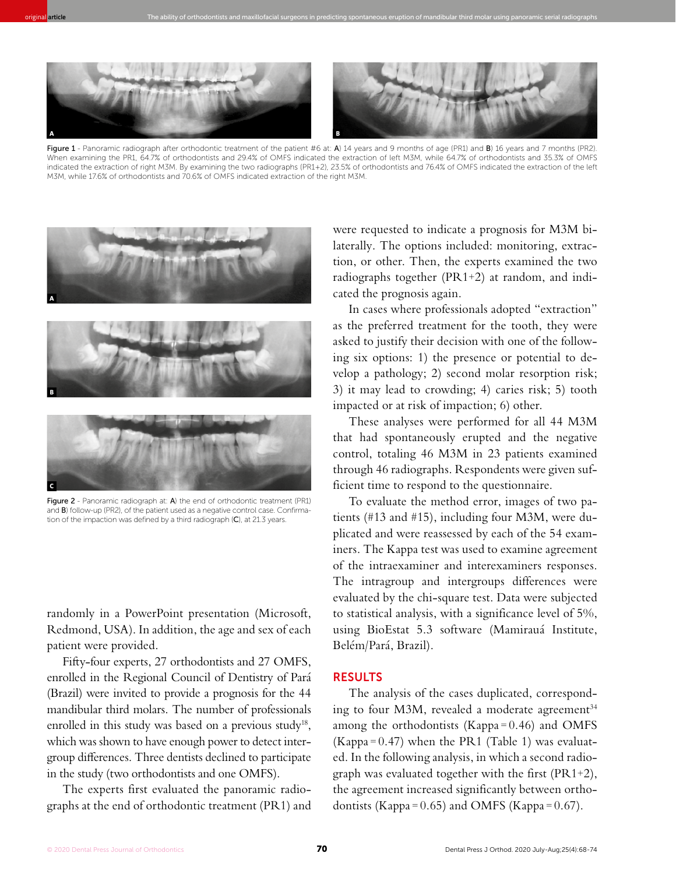

original **article** The ability of orthodontists and maxillofacial surgeons in predicting spontaneous eruption of mandibular third molar using panoramic serial radiographs

Figure 1 - Panoramic radiograph after orthodontic treatment of the patient #6 at: A) 14 years and 9 months of age (PR1) and B) 16 years and 7 months (PR2). When examining the PR1, 64.7% of orthodontists and 29.4% of OMFS indicated the extraction of left M3M, while 64.7% of orthodontists and 35.3% of OMFS indicated the extraction of right M3M. By examining the two radiographs (PR1+2), 23.5% of orthodontists and 76.4% of OMFS indicated the extraction of the left M3M, while 17.6% of orthodontists and 70.6% of OMFS indicated extraction of the right M3M.



Figure 2 - Panoramic radiograph at: A) the end of orthodontic treatment (PR1) and B) follow-up (PR2), of the patient used as a negative control case. Confirmation of the impaction was defined by a third radiograph (C), at 21.3 years.

randomly in a PowerPoint presentation (Microsoft, Redmond, USA). In addition, the age and sex of each patient were provided.

Fifty-four experts, 27 orthodontists and 27 OMFS, enrolled in the Regional Council of Dentistry of Pará (Brazil) were invited to provide a prognosis for the 44 mandibular third molars. The number of professionals enrolled in this study was based on a previous study<sup>18</sup>, which was shown to have enough power to detect intergroup differences. Three dentists declined to participate in the study (two orthodontists and one OMFS).

The experts first evaluated the panoramic radiographs at the end of orthodontic treatment (PR1) and were requested to indicate a prognosis for M3M bilaterally. The options included: monitoring, extraction, or other. Then, the experts examined the two radiographs together (PR1+2) at random, and indicated the prognosis again.

In cases where professionals adopted "extraction" as the preferred treatment for the tooth, they were asked to justify their decision with one of the following six options: 1) the presence or potential to develop a pathology; 2) second molar resorption risk; 3) it may lead to crowding; 4) caries risk; 5) tooth impacted or at risk of impaction; 6) other.

These analyses were performed for all 44 M3M that had spontaneously erupted and the negative control, totaling 46 M3M in 23 patients examined through 46 radiographs. Respondents were given sufficient time to respond to the questionnaire.

To evaluate the method error, images of two patients (#13 and #15), including four M3M, were duplicated and were reassessed by each of the 54 examiners. The Kappa test was used to examine agreement of the intraexaminer and interexaminers responses. The intragroup and intergroups differences were evaluated by the chi-square test. Data were subjected to statistical analysis, with a significance level of 5%, using BioEstat 5.3 software (Mamirauá Institute, Belém/Pará, Brazil).

### RESULTS

The analysis of the cases duplicated, corresponding to four M3M, revealed a moderate agreement<sup>34</sup> among the orthodontists (Kappa  $= 0.46$ ) and OMFS (Kappa= $0.47$ ) when the PR1 (Table 1) was evaluated. In the following analysis, in which a second radiograph was evaluated together with the first (PR1+2), the agreement increased significantly between orthodontists (Kappa =  $0.65$ ) and OMFS (Kappa =  $0.67$ ).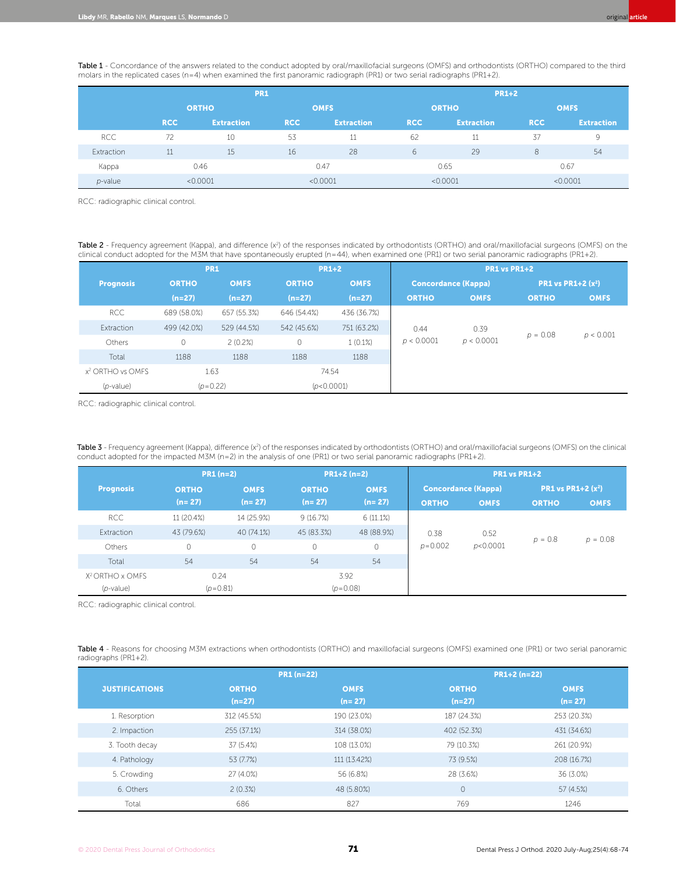Table 1 - Concordance of the answers related to the conduct adopted by oral/maxillofacial surgeons (OMFS) and orthodontists (ORTHO) compared to the third molars in the replicated cases (n=4) when examined the first panoramic radiograph (PR1) or two serial radiographs (PR1+2).

|            | <b>PR1</b>   |                   |             |                   |              | <b>PR1+2</b>      |             |                   |  |
|------------|--------------|-------------------|-------------|-------------------|--------------|-------------------|-------------|-------------------|--|
|            | <b>ORTHO</b> |                   | <b>OMFS</b> |                   | <b>ORTHO</b> |                   | <b>OMFS</b> |                   |  |
|            | <b>RCC</b>   | <b>Extraction</b> | <b>RCC</b>  | <b>Extraction</b> | <b>RCC</b>   | <b>Extraction</b> | <b>RCC</b>  | <b>Extraction</b> |  |
| <b>RCC</b> | 72           | 10                | 53          | 11                | 62           | 11                | 37          | 9                 |  |
| Extraction | 11           | 15                | 16          | 28                | 6            | 29                | 8           | 54                |  |
| Kappa      | 0.46         |                   | 0.47        |                   | 0.65         |                   | 0.67        |                   |  |
| $p$ -value | < 0.0001     |                   | < 0.0001    |                   | < 0.0001     |                   | < 0.0001    |                   |  |

RCC: radiographic clinical control.

Table 2 - Frequency agreement (Kappa), and difference (x<sup>2</sup>) of the responses indicated by orthodontists (ORTHO) and oral/maxillofacial surgeons (OMFS) on the clinical conduct adopted for the M3M that have spontaneously erupted (n = 44), when examined one (PR1) or two serial panoramic radiographs (PR1+2).

|                              | <b>PR1</b>   |             | <b>PR1+2</b> |             | PR1 vs PR1+2               |                    |                                        |             |
|------------------------------|--------------|-------------|--------------|-------------|----------------------------|--------------------|----------------------------------------|-------------|
| <b>Prognosis</b>             | <b>ORTHO</b> | <b>OMFS</b> | <b>ORTHO</b> | <b>OMFS</b> | <b>Concordance (Kappa)</b> |                    | <b>PR1 vs PR1+2 <math>(x^2)</math></b> |             |
|                              | $(n=27)$     | $(n=27)$    | $(n=27)$     | $(n=27)$    | <b>ORTHO</b>               | <b>OMFS</b>        | <b>ORTHO</b>                           | <b>OMFS</b> |
| RCC                          | 689 (58.0%)  | 657 (55.3%) | 646 (54.4%)  | 436 (36.7%) |                            |                    |                                        |             |
| Extraction                   | 499 (42.0%)  | 529 (44.5%) | 542 (45.6%)  | 751 (63.2%) | 0.44<br>p < 0.0001         | 0.39<br>p < 0.0001 | $p = 0.08$                             | p < 0.001   |
| Others                       | 0            | 2(0.2%)     | $\circ$      | 1(0.1%)     |                            |                    |                                        |             |
| Total                        | 1188         | 1188        | 1188         | 1188        |                            |                    |                                        |             |
| x <sup>2</sup> ORTHO vs OMFS | 1.63         |             | 74.54        |             |                            |                    |                                        |             |
| $(p$ -value)                 | $(p=0.22)$   |             | (p<0.0001)   |             |                            |                    |                                        |             |

RCC: radiographic clinical control.

**Table 3** - Frequency agreement (Kappa), difference (x<sup>2</sup>) of the responses indicated by orthodontists (ORTHO) and oral/maxillofacial surgeons (OMFS) on the clinical conduct adopted for the impacted M3M (n=2) in the analysis of one (PR1) or two serial panoramic radiographs (PR1+2).

|                             | $PR1(n=2)$   |             | $PR1+2(n=2)$ |             | <b>PR1 vs PR1+2</b> |                            |                             |             |
|-----------------------------|--------------|-------------|--------------|-------------|---------------------|----------------------------|-----------------------------|-------------|
| <b>Prognosis</b>            | <b>ORTHO</b> | <b>OMFS</b> | <b>ORTHO</b> | <b>OMFS</b> |                     | <b>Concordance (Kappa)</b> | <b>PR1</b> vs PR1+2 $(x^2)$ |             |
|                             | $(n=27)$     | $(n=27)$    | $(n=27)$     | $(n=27)$    | <b>ORTHO</b>        | <b>OMFS</b>                | <b>ORTHO</b>                | <b>OMFS</b> |
| RCC                         | 11 (20.4%)   | 14 (25.9%)  | 9(16.7%)     | 6(11.1%)    |                     |                            |                             |             |
| Extraction                  | 43 (79.6%)   | 40 (74.1%)  | 45 (83.3%)   | 48 (88.9%)  | 0.38                | 0.52<br>p<0.0001           | $p = 0.8$                   | $p = 0.08$  |
| <b>Others</b>               | $\circ$      | 0           | 0            | $\circ$     | $p = 0.002$         |                            |                             |             |
| Total                       | 54           | 54          | 54           | 54          |                     |                            |                             |             |
| X <sup>2</sup> ORTHO x OMFS | 0.24         |             | 3.92         |             |                     |                            |                             |             |
| $(p$ -value)                | $(p=0.81)$   |             | $(p=0.08)$   |             |                     |                            |                             |             |

RCC: radiographic clinical control.

Table 4 - Reasons for choosing M3M extractions when orthodontists (ORTHO) and maxillofacial surgeons (OMFS) examined one (PR1) or two serial panoramic radiographs (PR1+2).

|                       |                          | $PR1(n=22)$             | $PR1+2(n=22)$            |                         |  |  |
|-----------------------|--------------------------|-------------------------|--------------------------|-------------------------|--|--|
| <b>JUSTIFICATIONS</b> | <b>ORTHO</b><br>$(n=27)$ | <b>OMFS</b><br>$(n=27)$ | <b>ORTHO</b><br>$(n=27)$ | <b>OMFS</b><br>$(n=27)$ |  |  |
| 1. Resorption         | 312 (45.5%)              | 190 (23.0%)             | 187 (24.3%)              | 253 (20.3%)             |  |  |
| 2. Impaction          | 255 (37.1%)              | 314 (38.0%)             | 402 (52.3%)              | 431 (34.6%)             |  |  |
| 3. Tooth decay        | 37 (5.4%)                | 108 (13.0%)             | 79 (10.3%)               | 261 (20.9%)             |  |  |
| 4. Pathology          | 53 (7.7%)                | 111 (13.42%)            | 73 (9.5%)                | 208 (16.7%)             |  |  |
| 5. Crowding           | 27 (4.0%)                | 56 (6.8%)               | 28 (3.6%)                | 36 (3.0%)               |  |  |
| 6. Others             | $2(0.3\%)$               | 48 (5.80%)              | $\mathsf{O}\xspace$      | 57 (4.5%)               |  |  |
| Total                 | 686                      | 827                     | 769                      | 1246                    |  |  |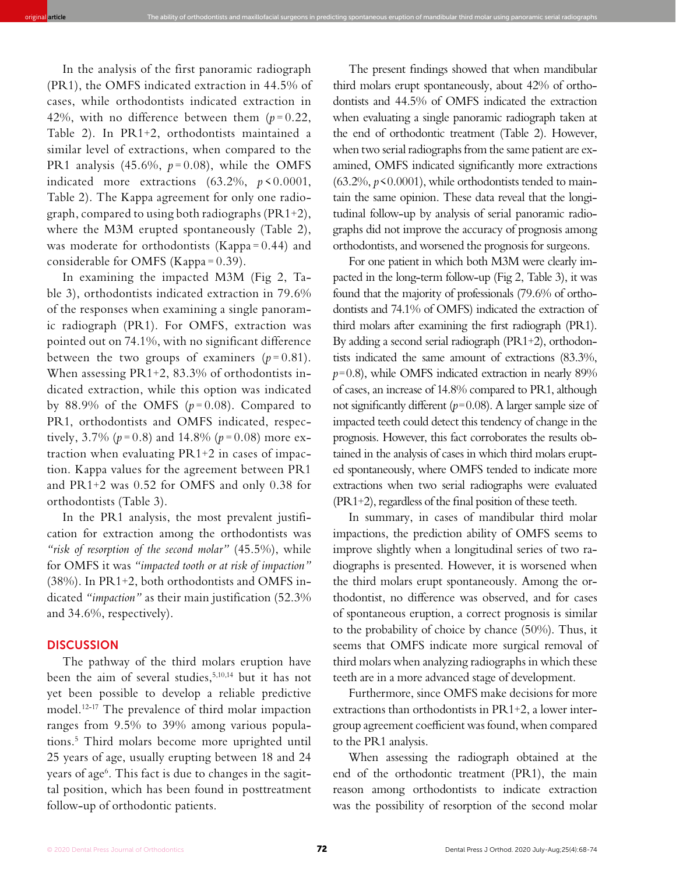In the analysis of the first panoramic radiograph (PR1), the OMFS indicated extraction in 44.5% of cases, while orthodontists indicated extraction in 42%, with no difference between them  $(p=0.22)$ , Table 2). In PR1+2, orthodontists maintained a similar level of extractions, when compared to the PR1 analysis  $(45.6\%, p=0.08)$ , while the OMFS indicated more extractions (63.2%, *p* < 0.0001, Table 2). The Kappa agreement for only one radiograph, compared to using both radiographs (PR1+2), where the M3M erupted spontaneously (Table 2), was moderate for orthodontists (Kappa = 0.44) and considerable for OMFS (Kappa = 0.39).

original **article** The ability of orthodontists and maxillofacial surgeons in predicting spontaneous eruption of mandibular third molar using panoramic serial radiographs

In examining the impacted M3M (Fig 2, Table 3), orthodontists indicated extraction in 79.6% of the responses when examining a single panoramic radiograph (PR1). For OMFS, extraction was pointed out on 74.1%, with no significant difference between the two groups of examiners  $(p=0.81)$ . When assessing PR1+2, 83.3% of orthodontists indicated extraction, while this option was indicated by 88.9% of the OMFS  $(p=0.08)$ . Compared to PR1, orthodontists and OMFS indicated, respectively,  $3.7\%$  ( $p = 0.8$ ) and  $14.8\%$  ( $p = 0.08$ ) more extraction when evaluating PR1+2 in cases of impaction. Kappa values for the agreement between PR1 and PR1+2 was 0.52 for OMFS and only 0.38 for orthodontists (Table 3).

In the PR1 analysis, the most prevalent justification for extraction among the orthodontists was *"risk of resorption of the second molar"* (45.5%), while for OMFS it was *"impacted tooth or at risk of impaction"* (38%). In PR1+2, both orthodontists and OMFS indicated *"impaction"* as their main justification (52.3% and 34.6%, respectively).

#### **DISCUSSION**

The pathway of the third molars eruption have been the aim of several studies,5,10,14 but it has not yet been possible to develop a reliable predictive model.12-17 The prevalence of third molar impaction ranges from 9.5% to 39% among various populations.5 Third molars become more uprighted until 25 years of age, usually erupting between 18 and 24 years of age6 . This fact is due to changes in the sagittal position, which has been found in posttreatment follow-up of orthodontic patients.

The present findings showed that when mandibular third molars erupt spontaneously, about 42% of orthodontists and 44.5% of OMFS indicated the extraction when evaluating a single panoramic radiograph taken at the end of orthodontic treatment (Table 2). However, when two serial radiographs from the same patient are examined, OMFS indicated significantly more extractions (63.2%,  $p$ <0.0001), while orthodontists tended to maintain the same opinion. These data reveal that the longitudinal follow-up by analysis of serial panoramic radiographs did not improve the accuracy of prognosis among orthodontists, and worsened the prognosis for surgeons.

For one patient in which both M3M were clearly impacted in the long-term follow-up (Fig 2, Table 3), it was found that the majority of professionals (79.6% of orthodontists and 74.1% of OMFS) indicated the extraction of third molars after examining the first radiograph (PR1). By adding a second serial radiograph (PR1+2), orthodontists indicated the same amount of extractions (83.3%,  $p=0.8$ ), while OMFS indicated extraction in nearly 89% of cases, an increase of 14.8% compared to PR1, although not significantly different  $(p=0.08)$ . A larger sample size of impacted teeth could detect this tendency of change in the prognosis. However, this fact corroborates the results obtained in the analysis of cases in which third molars erupted spontaneously, where OMFS tended to indicate more extractions when two serial radiographs were evaluated (PR1+2), regardless of the final position of these teeth.

In summary, in cases of mandibular third molar impactions, the prediction ability of OMFS seems to improve slightly when a longitudinal series of two radiographs is presented. However, it is worsened when the third molars erupt spontaneously. Among the orthodontist, no difference was observed, and for cases of spontaneous eruption, a correct prognosis is similar to the probability of choice by chance (50%). Thus, it seems that OMFS indicate more surgical removal of third molars when analyzing radiographs in which these teeth are in a more advanced stage of development.

Furthermore, since OMFS make decisions for more extractions than orthodontists in PR1+2, a lower intergroup agreement coefficient was found, when compared to the PR1 analysis.

When assessing the radiograph obtained at the end of the orthodontic treatment (PR1), the main reason among orthodontists to indicate extraction was the possibility of resorption of the second molar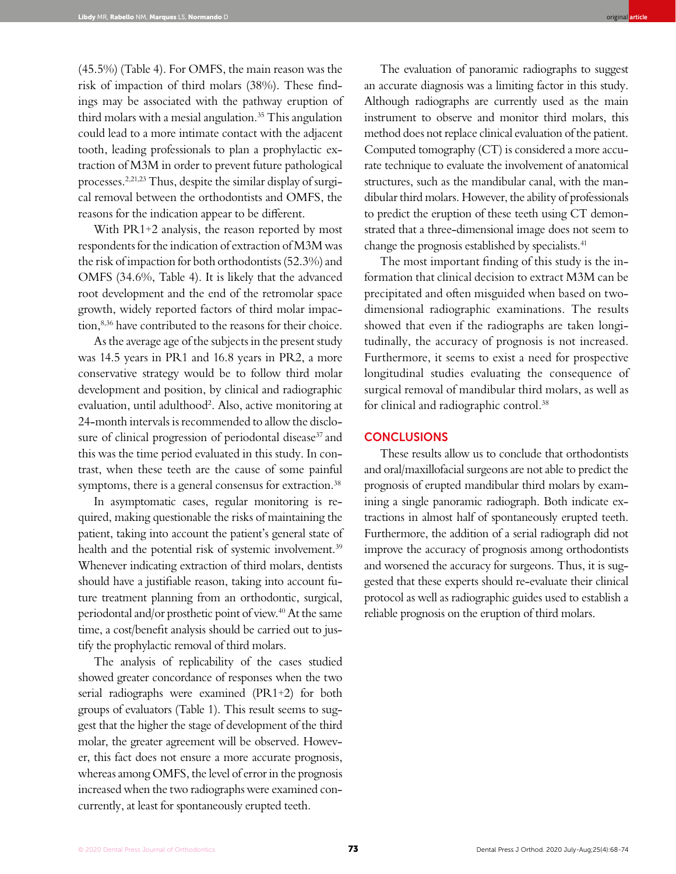(45.5%) (Table 4). For OMFS, the main reason was the risk of impaction of third molars (38%). These findings may be associated with the pathway eruption of third molars with a mesial angulation.<sup>35</sup> This angulation could lead to a more intimate contact with the adjacent tooth, leading professionals to plan a prophylactic extraction of M3M in order to prevent future pathological processes.2,21,23 Thus, despite the similar display of surgical removal between the orthodontists and OMFS, the reasons for the indication appear to be different.

With PR1+2 analysis, the reason reported by most respondents for the indication of extraction of M3M was the risk of impaction for both orthodontists (52.3%) and OMFS (34.6%, Table 4). It is likely that the advanced root development and the end of the retromolar space growth, widely reported factors of third molar impaction,<sup>8,36</sup> have contributed to the reasons for their choice.

As the average age of the subjects in the present study was 14.5 years in PR1 and 16.8 years in PR2, a more conservative strategy would be to follow third molar development and position, by clinical and radiographic evaluation, until adulthood<sup>2</sup>. Also, active monitoring at 24-month intervals is recommended to allow the disclosure of clinical progression of periodontal disease<sup>37</sup> and this was the time period evaluated in this study. In contrast, when these teeth are the cause of some painful symptoms, there is a general consensus for extraction.<sup>38</sup>

In asymptomatic cases, regular monitoring is required, making questionable the risks of maintaining the patient, taking into account the patient's general state of health and the potential risk of systemic involvement.<sup>39</sup> Whenever indicating extraction of third molars, dentists should have a justifiable reason, taking into account future treatment planning from an orthodontic, surgical, periodontal and/or prosthetic point of view.40 At the same time, a cost/benefit analysis should be carried out to justify the prophylactic removal of third molars.

The analysis of replicability of the cases studied showed greater concordance of responses when the two serial radiographs were examined (PR1+2) for both groups of evaluators (Table 1). This result seems to suggest that the higher the stage of development of the third molar, the greater agreement will be observed. However, this fact does not ensure a more accurate prognosis, whereas among OMFS, the level of error in the prognosis increased when the two radiographs were examined concurrently, at least for spontaneously erupted teeth.

The evaluation of panoramic radiographs to suggest an accurate diagnosis was a limiting factor in this study. Although radiographs are currently used as the main instrument to observe and monitor third molars, this method does not replace clinical evaluation of the patient. Computed tomography (CT) is considered a more accurate technique to evaluate the involvement of anatomical structures, such as the mandibular canal, with the mandibular third molars. However, the ability of professionals to predict the eruption of these teeth using CT demonstrated that a three-dimensional image does not seem to change the prognosis established by specialists.41

The most important finding of this study is the information that clinical decision to extract M3M can be precipitated and often misguided when based on twodimensional radiographic examinations. The results showed that even if the radiographs are taken longitudinally, the accuracy of prognosis is not increased. Furthermore, it seems to exist a need for prospective longitudinal studies evaluating the consequence of surgical removal of mandibular third molars, as well as for clinical and radiographic control.38

#### **CONCLUSIONS**

These results allow us to conclude that orthodontists and oral/maxillofacial surgeons are not able to predict the prognosis of erupted mandibular third molars by examining a single panoramic radiograph. Both indicate extractions in almost half of spontaneously erupted teeth. Furthermore, the addition of a serial radiograph did not improve the accuracy of prognosis among orthodontists and worsened the accuracy for surgeons. Thus, it is suggested that these experts should re-evaluate their clinical protocol as well as radiographic guides used to establish a reliable prognosis on the eruption of third molars.